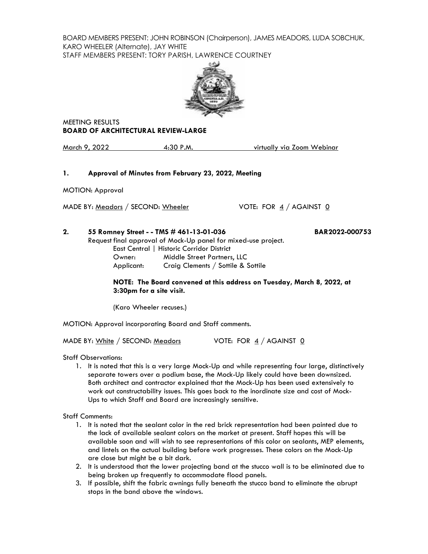BOARD MEMBERS PRESENT: JOHN ROBINSON (Chairperson), JAMES MEADORS, LUDA SOBCHUK, KARO WHEELER (Alternate), JAY WHITE STAFF MEMBERS PRESENT: TORY PARISH, LAWRENCE COURTNEY



MEETING RESULTS **BOARD OF ARCHITECTURAL REVIEW-LARGE**

March 9, 2022 4:30 P.M. virtually via Zoom Webinar

## **1. Approval of Minutes from February 23, 2022, Meeting**

MOTION: Approval

MADE BY: <u>Meadors</u> / SECOND: Wheeler VOTE: FOR 4 / AGAINST 0

**2. 55 Romney Street - - TMS # 461-13-01-036 BAR2022-000753** Request final approval of Mock-Up panel for mixed-use project. .<br>htral | Historic Co

|            | East Central   Historic Corrigor District |
|------------|-------------------------------------------|
| Owner:     | Middle Street Partners, LLC               |
| Applicant: | Craig Clements / Sottile & Sottile        |

**NOTE: The Board convened at this address on Tuesday, March 8, 2022, at 3:30pm for a site visit.**

(Karo Wheeler recuses.)

MOTION: Approval incorporating Board and Staff comments.

MADE BY: White / SECOND: Meadors VOTE: FOR  $\frac{4}{3}$  / AGAINST 0

Staff Observations:

1. It is noted that this is a very large Mock-Up and while representing four large, distinctively separate towers over a podium base, the Mock-Up likely could have been downsized. Both architect and contractor explained that the Mock-Up has been used extensively to work out constructability issues. This goes back to the inordinate size and cost of Mock-Ups to which Staff and Board are increasingly sensitive.

## Staff Comments:

- 1. It is noted that the sealant color in the red brick representation had been painted due to the lack of available sealant colors on the market at present. Staff hopes this will be available soon and will wish to see representations of this color on sealants, MEP elements, and lintels on the actual building before work progresses. These colors on the Mock-Up are close but might be a bit dark.
- 2. It is understood that the lower projecting band at the stucco wall is to be eliminated due to being broken up frequently to accommodate flood panels.
- 3. If possible, shift the fabric awnings fully beneath the stucco band to eliminate the abrupt stops in the band above the windows.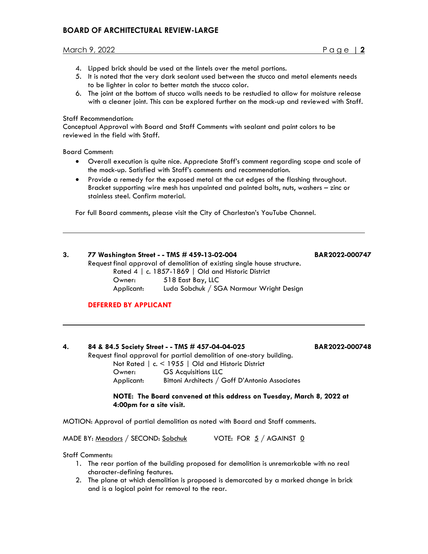# **BOARD OF ARCHITECTURAL REVIEW-LARGE**

## March 9, 2022 Page | **2**

- 4. Lipped brick should be used at the lintels over the metal portions.
- 5. It is noted that the very dark sealant used between the stucco and metal elements needs to be lighter in color to better match the stucco color.
- 6. The joint at the bottom of stucco walls needs to be restudied to allow for moisture release with a cleaner joint. This can be explored further on the mock-up and reviewed with Staff.

#### Staff Recommendation:

Conceptual Approval with Board and Staff Comments with sealant and paint colors to be reviewed in the field with Staff.

Board Comment:

- Overall execution is quite nice. Appreciate Staff's comment regarding scope and scale of the mock-up. Satisfied with Staff's comments and recommendation.
- Provide a remedy for the exposed metal at the cut edges of the flashing throughout. Bracket supporting wire mesh has unpainted and painted bolts, nuts, washers – zinc or stainless steel. Confirm material.

For full Board comments, please visit the City of Charleston's YouTube Channel.

| 3. | 77 Washington Street - - TMS # 459-13-02-004       |                                                                          | <b>BAI</b> |
|----|----------------------------------------------------|--------------------------------------------------------------------------|------------|
|    |                                                    | Request final approval of demolition of existing single house structure. |            |
|    | Rated 4   c. 1857-1869   Old and Historic District |                                                                          |            |
|    | Owner:                                             | 518 East Bay, LLC                                                        |            |
|    | Applicant:                                         | Luda Sobchuk / SGA Narmour Wright Design                                 |            |
|    |                                                    |                                                                          |            |

# **DEFERRED BY APPLICANT**

# **4. 84 & 84.5 Society Street - - TMS # 457-04-04-025 BAR2022-000748** Request final approval for partial demolition of one-story building. Not Rated | c. < 1955 | Old and Historic District Owner: GS Acquisitions LLC Applicant: Bittoni Architects / Goff D'Antonio Associates

**NOTE: The Board convened at this address on Tuesday, March 8, 2022 at 4:00pm for a site visit.**

MOTION: Approval of partial demolition as noted with Board and Staff comments.

MADE BY: Meadors / SECOND: Sobchuk VOTE: FOR 5 / AGAINST 0

#### Staff Comments:

- 1. The rear portion of the building proposed for demolition is unremarkable with no real character-defining features.
- 2. The plane at which demolition is proposed is demarcated by a marked change in brick and is a logical point for removal to the rear.

**3. 77 Washington Street - - TMS # 459-13-02-004 BAR2022-000747**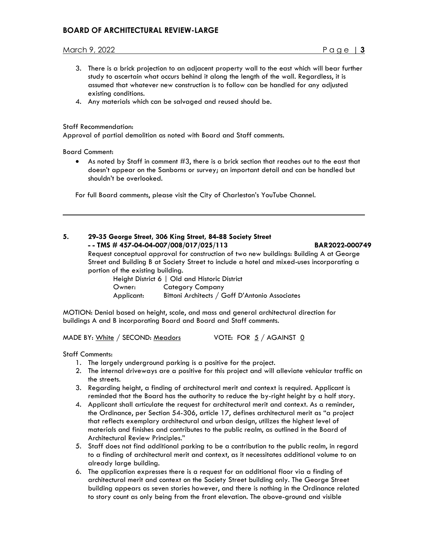# **BOARD OF ARCHITECTURAL REVIEW-LARGE**

## March 9, 2022 Page | **3**

- 3. There is a brick projection to an adjacent property wall to the east which will bear further study to ascertain what occurs behind it along the length of the wall. Regardless, it is assumed that whatever new construction is to follow can be handled for any adjusted existing conditions.
- 4. Any materials which can be salvaged and reused should be.

### Staff Recommendation:

Approval of partial demolition as noted with Board and Staff comments.

Board Comment:

 $\bullet$  As noted by Staff in comment  $\#3$ , there is a brick section that reaches out to the east that doesn't appear on the Sanborns or survey; an important detail and can be handled but shouldn't be overlooked.

For full Board comments, please visit the City of Charleston's YouTube Channel.

## **5. 29-35 George Street, 306 King Street, 84-88 Society Street - - TMS # 457-04-04-007/008/017/025/113 BAR2022-000749**

Request conceptual approval for construction of two new buildings: Building A at George Street and Building B at Society Street to include a hotel and mixed-uses incorporating a portion of the existing building.

| Height District 6   Old and Historic District |                                                |  |  |
|-----------------------------------------------|------------------------------------------------|--|--|
| Owner:                                        | Category Company                               |  |  |
| Applicant:                                    | Bittoni Architects / Goff D'Antonio Associates |  |  |

MOTION: Denial based on height, scale, and mass and general architectural direction for buildings A and B incorporating Board and Board and Staff comments.

MADE BY:  $White / SECOND: Meadors$  VOTE: FOR  $5 / AGAINST$  0

Staff Comments:

- 1. The largely underground parking is a positive for the project.
- 2. The internal driveways are a positive for this project and will alleviate vehicular traffic on the streets.
- 3. Regarding height, a finding of architectural merit and context is required. Applicant is reminded that the Board has the authority to reduce the by-right height by a half story.
- 4. Applicant shall articulate the request for architectural merit and context. As a reminder, the Ordinance, per Section 54-306, article 17, defines architectural merit as "a project that reflects exemplary architectural and urban design, utilizes the highest level of materials and finishes and contributes to the public realm, as outlined in the Board of Architectural Review Principles."
- 5. Staff does not find additional parking to be a contribution to the public realm, in regard to a finding of architectural merit and context, as it necessitates additional volume to an already large building.
- 6. The application expresses there is a request for an additional floor via a finding of architectural merit and context on the Society Street building only. The George Street building appears as seven stories however, and there is nothing in the Ordinance related to story count as only being from the front elevation. The above-ground and visible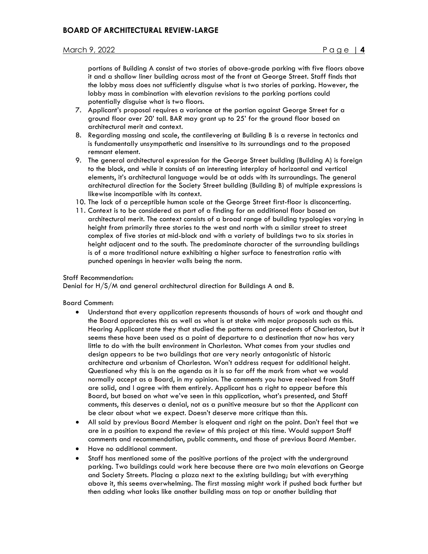portions of Building A consist of two stories of above-grade parking with five floors above it and a shallow liner building across most of the front at George Street. Staff finds that the lobby mass does not sufficiently disguise what is two stories of parking. However, the lobby mass in combination with elevation revisions to the parking portions could potentially disguise what is two floors.

- 7. Applicant's proposal requires a variance at the portion against George Street for a ground floor over 20' tall. BAR may grant up to 25' for the ground floor based on architectural merit and context.
- 8. Regarding massing and scale, the cantilevering at Building B is a reverse in tectonics and is fundamentally unsympathetic and insensitive to its surroundings and to the proposed remnant element.
- 9. The general architectural expression for the George Street building (Building A) is foreign to the block, and while it consists of an interesting interplay of horizontal and vertical elements, it's architectural language would be at odds with its surroundings. The general architectural direction for the Society Street building (Building B) of multiple expressions is likewise incompatible with its context.
- 10. The lack of a perceptible human scale at the George Street first-floor is disconcerting.
- 11. Context is to be considered as part of a finding for an additional floor based on architectural merit. The context consists of a broad range of building typologies varying in height from primarily three stories to the west and north with a similar street to street complex of five stories at mid-block and with a variety of buildings two to six stories in height adjacent and to the south. The predominate character of the surrounding buildings is of a more traditional nature exhibiting a higher surface to fenestration ratio with punched openings in heavier walls being the norm.

#### Staff Recommendation:

Denial for H/S/M and general architectural direction for Buildings A and B.

#### Board Comment:

- Understand that every application represents thousands of hours of work and thought and the Board appreciates this as well as what is at stake with major proposals such as this. Hearing Applicant state they that studied the patterns and precedents of Charleston, but it seems these have been used as a point of departure to a destination that now has very little to do with the built environment in Charleston. What comes from your studies and design appears to be two buildings that are very nearly antagonistic of historic architecture and urbanism of Charleston. Won't address request for additional height. Questioned why this is on the agenda as it is so far off the mark from what we would normally accept as a Board, in my opinion. The comments you have received from Staff are solid, and I agree with them entirely. Applicant has a right to appear before this Board, but based on what we've seen in this application, what's presented, and Staff comments, this deserves a denial, not as a punitive measure but so that the Applicant can be clear about what we expect. Doesn't deserve more critique than this.
- All said by previous Board Member is eloquent and right on the point. Don't feel that we are in a position to expand the review of this project at this time. Would support Staff comments and recommendation, public comments, and those of previous Board Member.
- Have no additional comment.
- Staff has mentioned some of the positive portions of the project with the underground parking. Two buildings could work here because there are two main elevations on George and Society Streets. Placing a plaza next to the existing building; but with everything above it, this seems overwhelming. The first massing might work if pushed back further but then adding what looks like another building mass on top or another building that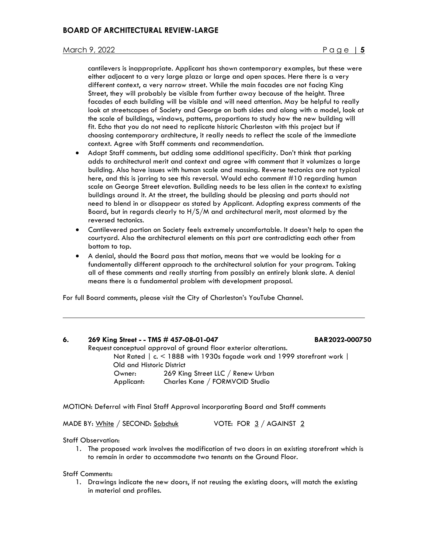cantilevers is inappropriate. Applicant has shown contemporary examples, but these were either adjacent to a very large plaza or large and open spaces. Here there is a very different context, a very narrow street. While the main facades are not facing King Street, they will probably be visible from further away because of the height. Three facades of each building will be visible and will need attention. May be helpful to really look at streetscapes of Society and George on both sides and along with a model, look at the scale of buildings, windows, patterns, proportions to study how the new building will fit. Echo that you do not need to replicate historic Charleston with this project but if choosing contemporary architecture, it really needs to reflect the scale of the immediate context. Agree with Staff comments and recommendation.

- Adopt Staff comments, but adding some additional specificity. Don't think that parking adds to architectural merit and context and agree with comment that it volumizes a large building. Also have issues with human scale and massing. Reverse tectonics are not typical here, and this is jarring to see this reversal. Would echo comment #10 regarding human scale on George Street elevation. Building needs to be less alien in the context to existing buildings around it. At the street, the building should be pleasing and parts should not need to blend in or disappear as stated by Applicant. Adopting express comments of the Board, but in regards clearly to H/S/M and architectural merit, most alarmed by the reversed tectonics.
- Cantilevered portion on Society feels extremely uncomfortable. It doesn't help to open the courtyard. Also the architectural elements on this part are contradicting each other from bottom to top.
- A denial, should the Board pass that motion, means that we would be looking for a fundamentally different approach to the architectural solution for your program. Taking all of these comments and really starting from possibly an entirely blank slate. A denial means there is a fundamental problem with development proposal.

For full Board comments, please visit the City of Charleston's YouTube Channel.

#### **6. 269 King Street - - TMS # 457-08-01-047 BAR2022-000750**

Request conceptual approval of ground floor exterior alterations. Not Rated | c. < 1888 with 1930s façade work and 1999 storefront work | Old and Historic District Owner: 269 King Street LLC / Renew Urban Applicant: Charles Kane / FORMVOID Studio

MOTION: Deferral with Final Staff Approval incorporating Board and Staff comments

MADE BY: White / SECOND: Sobchuk VOTE: FOR 3 / AGAINST 2

#### Staff Observation:

1. The proposed work involves the modification of two doors in an existing storefront which is to remain in order to accommodate two tenants on the Ground Floor.

#### Staff Comments:

1. Drawings indicate the new doors, if not reusing the existing doors, will match the existing in material and profiles.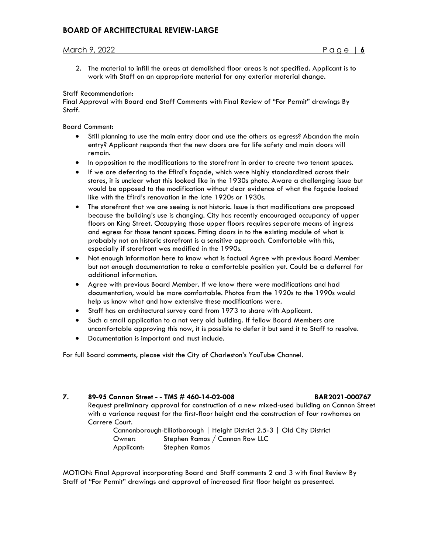2. The material to infill the areas at demolished floor areas is not specified. Applicant is to work with Staff on an appropriate material for any exterior material change.

### Staff Recommendation:

Final Approval with Board and Staff Comments with Final Review of "For Permit" drawings By Staff.

Board Comment:

- Still planning to use the main entry door and use the others as egress? Abandon the main entry? Applicant responds that the new doors are for life safety and main doors will remain.
- In opposition to the modifications to the storefront in order to create two tenant spaces.
- If we are deferring to the Efird's façade, which were highly standardized across their stores, it is unclear what this looked like in the 1930s photo. Aware a challenging issue but would be opposed to the modification without clear evidence of what the façade looked like with the Efird's renovation in the late 1920s or 1930s.
- The storefront that we are seeing is not historic. Issue is that modifications are proposed because the building's use is changing. City has recently encouraged occupancy of upper floors on King Street. Occupying those upper floors requires separate means of ingress and egress for those tenant spaces. Fitting doors in to the existing module of what is probably not an historic storefront is a sensitive approach. Comfortable with this, especially if storefront was modified in the 1990s.
- Not enough information here to know what is factual Agree with previous Board Member but not enough documentation to take a comfortable position yet. Could be a deferral for additional information.
- Agree with previous Board Member. If we know there were modifications and had documentation, would be more comfortable. Photos from the 1920s to the 1990s would help us know what and how extensive these modifications were.
- Staff has an architectural survey card from 1973 to share with Applicant.
- Such a small application to a not very old building. If fellow Board Members are uncomfortable approving this now, it is possible to defer it but send it to Staff to resolve.
- Documentation is important and must include.

For full Board comments, please visit the City of Charleston's YouTube Channel.

## **7. 89-95 Cannon Street - - TMS # 460-14-02-008 BAR2021-000767**

Request preliminary approval for construction of a new mixed-used building on Cannon Street with a variance request for the first-floor height and the construction of four rowhomes on Carrere Court.

Cannonborough-Elliotborough | Height District 2.5-3 | Old City District Owner: Stephen Ramos / Cannon Row LLC Applicant: Stephen Ramos

MOTION: Final Approval incorporating Board and Staff comments 2 and 3 with final Review By Staff of "For Permit" drawings and approval of increased first floor height as presented.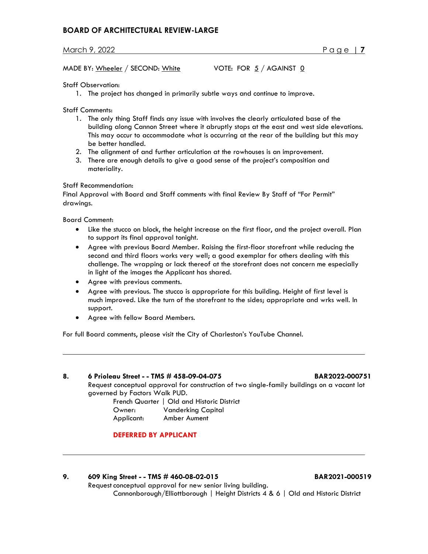# **BOARD OF ARCHITECTURAL REVIEW-LARGE**

March 9, 2022 Page | **7**

MADE BY: Wheeler / SECOND: White  $VOTE$ : FOR  $5/$  AGAINST  $\underline{0}$ 

## Staff Observation:

1. The project has changed in primarily subtle ways and continue to improve.

Staff Comments:

- 1. The only thing Staff finds any issue with involves the clearly articulated base of the building along Cannon Street where it abruptly stops at the east and west side elevations. This may occur to accommodate what is occurring at the rear of the building but this may be better handled.
- 2. The alignment of and further articulation at the rowhouses is an improvement.
- 3. There are enough details to give a good sense of the project's composition and materiality.

## Staff Recommendation:

Final Approval with Board and Staff comments with final Review By Staff of "For Permit" drawings.

Board Comment:

- Like the stucco on block, the height increase on the first floor, and the project overall. Plan to support its final approval tonight.
- Agree with previous Board Member. Raising the first-floor storefront while reducing the second and third floors works very well; a good exemplar for others dealing with this challenge. The wrapping or lack thereof at the storefront does not concern me especially in light of the images the Applicant has shared.
- Agree with previous comments.
- Agree with previous. The stucco is appropriate for this building. Height of first level is much improved. Like the turn of the storefront to the sides; appropriate and wrks well. In support.
- Agree with fellow Board Members.

For full Board comments, please visit the City of Charleston's YouTube Channel.

**8. 6 Prioleau Street - - TMS # 458-09-04-075 BAR2022-000751** Request conceptual approval for construction of two single-family buildings on a vacant lot governed by Factors Walk PUD. French Quarter | Old and Historic District

Owner: Vanderking Capital Applicant: Amber Aument

# **DEFERRED BY APPLICANT**

**9. 609 King Street - - TMS # 460-08-02-015 BAR2021-000519** Request conceptual approval for new senior living building. Cannonborough/Elliottborough | Height Districts 4 & 6 | Old and Historic District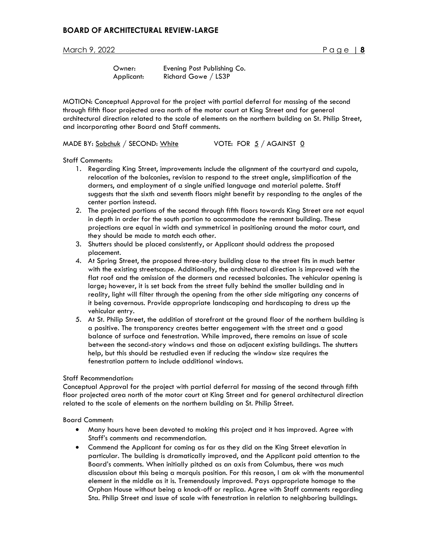| Owner:     | Evening Post Publishing Co. |
|------------|-----------------------------|
| Applicant: | Richard Gowe / LS3P         |

MOTION: Conceptual Approval for the project with partial deferral for massing of the second through fifth floor projected area north of the motor court at King Street and for general architectural direction related to the scale of elements on the northern building on St. Philip Street, and incorporating other Board and Staff comments.

MADE BY: Sobchuk / SECOND: White VOTE: FOR 5 / AGAINST 0

Staff Comments:

- 1. Regarding King Street, improvements include the alignment of the courtyard and cupola, relocation of the balconies, revision to respond to the street angle, simplification of the dormers, and employment of a single unified language and material palette. Staff suggests that the sixth and seventh floors might benefit by responding to the angles of the center portion instead.
- 2. The projected portions of the second through fifth floors towards King Street are not equal in depth in order for the south portion to accommodate the remnant building. These projections are equal in width and symmetrical in positioning around the motor court, and they should be made to match each other.
- 3. Shutters should be placed consistently, or Applicant should address the proposed placement.
- 4. At Spring Street, the proposed three-story building close to the street fits in much better with the existing streetscape. Additionally, the architectural direction is improved with the flat roof and the omission of the dormers and recessed balconies. The vehicular opening is large; however, it is set back from the street fully behind the smaller building and in reality, light will filter through the opening from the other side mitigating any concerns of it being cavernous. Provide appropriate landscaping and hardscaping to dress up the vehicular entry.
- 5. At St. Philip Street, the addition of storefront at the ground floor of the northern building is a positive. The transparency creates better engagement with the street and a good balance of surface and fenestration. While improved, there remains an issue of scale between the second-story windows and those on adjacent existing buildings. The shutters help, but this should be restudied even if reducing the window size requires the fenestration pattern to include additional windows.

#### Staff Recommendation:

Conceptual Approval for the project with partial deferral for massing of the second through fifth floor projected area north of the motor court at King Street and for general architectural direction related to the scale of elements on the northern building on St. Philip Street.

Board Comment:

- Many hours have been devoted to making this project and it has improved. Agree with Staff's comments and recommendation.
- Commend the Applicant for coming as far as they did on the King Street elevation in particular. The building is dramatically improved, and the Applicant paid attention to the Board's comments. When initially pitched as an axis from Columbus, there was much discussion about this being a marquis position. For this reason, I am ok with the monumental element in the middle as it is. Tremendously improved. Pays appropriate homage to the Orphan House without being a knock-off or replica. Agree with Staff comments regarding Sta. Philip Street and issue of scale with fenestration in relation to neighboring buildings.